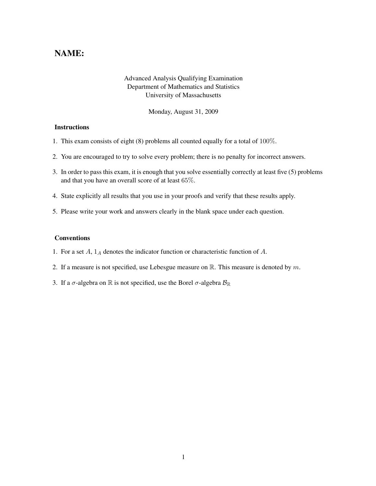## NAME:

## Advanced Analysis Qualifying Examination Department of Mathematics and Statistics University of Massachusetts

Monday, August 31, 2009

## **Instructions**

- 1. This exam consists of eight (8) problems all counted equally for a total of 100%.
- 2. You are encouraged to try to solve every problem; there is no penalty for incorrect answers.
- 3. In order to pass this exam, it is enough that you solve essentially correctly at least five (5) problems and that you have an overall score of at least 65%.
- 4. State explicitly all results that you use in your proofs and verify that these results apply.
- 5. Please write your work and answers clearly in the blank space under each question.

## Conventions

- 1. For a set  $A$ ,  $1_A$  denotes the indicator function or characteristic function of  $A$ .
- 2. If a measure is not specified, use Lebesgue measure on  $\mathbb{R}$ . This measure is denoted by m.
- 3. If a  $\sigma$ -algebra on  $\mathbb R$  is not specified, use the Borel  $\sigma$ -algebra  $\mathcal{B}_{\mathbb R}$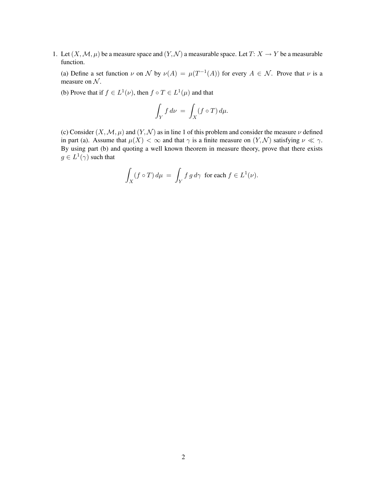1. Let  $(X, \mathcal{M}, \mu)$  be a measure space and  $(Y, \mathcal{N})$  a measurable space. Let  $T: X \to Y$  be a measurable function.

(a) Define a set function  $\nu$  on  $\mathcal N$  by  $\nu(A) = \mu(T^{-1}(A))$  for every  $A \in \mathcal N$ . Prove that  $\nu$  is a measure on  $N$ .

(b) Prove that if  $f \in L^1(\nu)$ , then  $f \circ T \in L^1(\mu)$  and that

$$
\int_Y f \, d\nu \, = \, \int_X (f \circ T) \, d\mu.
$$

(c) Consider  $(X, \mathcal{M}, \mu)$  and  $(Y, \mathcal{N})$  as in line 1 of this problem and consider the measure  $\nu$  defined in part (a). Assume that  $\mu(X) < \infty$  and that  $\gamma$  is a finite measure on  $(Y, \mathcal{N})$  satisfying  $\nu \ll \gamma$ . By using part (b) and quoting a well known theorem in measure theory, prove that there exists  $g \in L^1(\gamma)$  such that

$$
\int_X (f \circ T) d\mu = \int_Y f g d\gamma \text{ for each } f \in L^1(\nu).
$$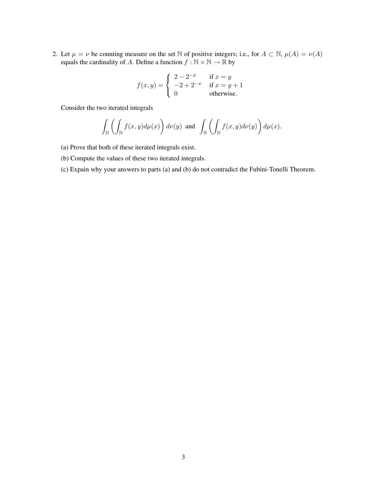2. Let  $\mu = \nu$  be counting measure on the set N of positive integers; i.e., for  $A \subset \mathbb{N}$ ,  $\mu(A) = \nu(A)$ equals the cardinality of A. Define a function  $f : \mathbb{N} \times \mathbb{N} \to \mathbb{R}$  by

$$
f(x,y) = \begin{cases} 2 - 2^{-x} & \text{if } x = y \\ -2 + 2^{-x} & \text{if } x = y + 1 \\ 0 & \text{otherwise.} \end{cases}
$$

Consider the two iterated integrals

$$
\int_{\mathbb{N}} \left( \int_{\mathbb{N}} f(x, y) d\mu(x) \right) d\nu(y) \text{ and } \int_{\mathbb{N}} \left( \int_{\mathbb{N}} f(x, y) d\nu(y) \right) d\mu(x).
$$

- (a) Prove that both of these iterated integrals exist.
- (b) Compute the values of these two iterated integrals.
- (c) Expain why your answers to parts (a) and (b) do not contradict the Fubini-Tonelli Theorem.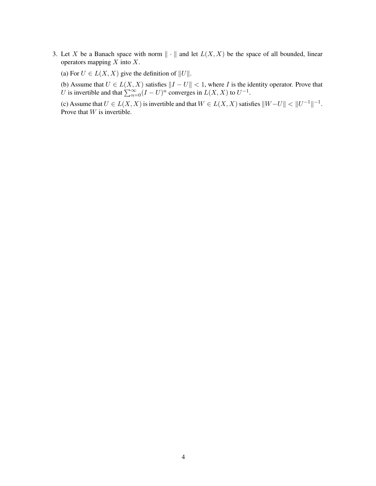- 3. Let X be a Banach space with norm  $\|\cdot\|$  and let  $L(X, X)$  be the space of all bounded, linear operators mapping  $X$  into  $X$ .
	- (a) For  $U \in L(X, X)$  give the definition of  $||U||$ .
	- (b) Assume that  $U \in L(X, X)$  satisfies  $||I U|| < 1$ , where I is the identity operator. Prove that U is invertible and that  $\sum_{n=0}^{\infty} (I - U)^n$  converges in  $L(X, X)$  to  $U^{-1}$ .

(c) Assume that  $U \in L(X, X)$  is invertible and that  $W \in L(X, X)$  satisfies  $||W - U|| < ||U^{-1}||^{-1}$ . Prove that W is invertible.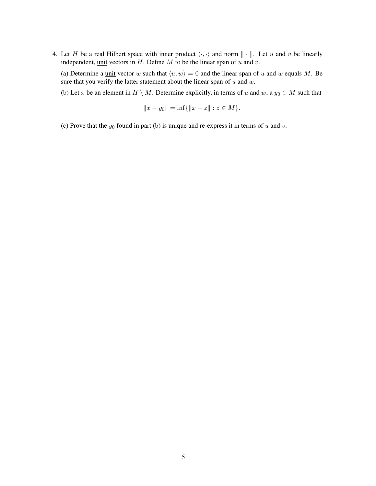4. Let H be a real Hilbert space with inner product  $\langle \cdot, \cdot \rangle$  and norm  $\| \cdot \|$ . Let u and v be linearly independent, unit vectors in  $H$ . Define  $M$  to be the linear span of  $u$  and  $v$ .

(a) Determine a <u>unit</u> vector w such that  $\langle u, w \rangle = 0$  and the linear span of u and w equals M. Be sure that you verify the latter statement about the linear span of  $u$  and  $w$ .

(b) Let x be an element in  $H \setminus M$ . Determine explicitly, in terms of u and w, a  $y_0 \in M$  such that

$$
||x - y_0|| = \inf\{||x - z|| : z \in M\}.
$$

(c) Prove that the  $y_0$  found in part (b) is unique and re-express it in terms of u and v.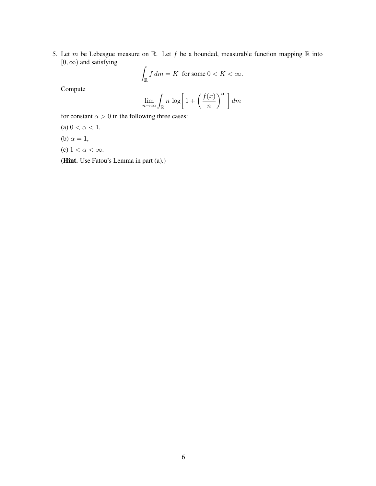5. Let m be Lebesgue measure on  $\mathbb R$ . Let f be a bounded, measurable function mapping  $\mathbb R$  into  $[0, \infty)$  and satisfying

$$
\int_{\mathbb{R}} f \, dm = K \text{ for some } 0 < K < \infty.
$$

Compute

$$
\lim_{n \to \infty} \int_{\mathbb{R}} n \, \log \bigg[ 1 + \bigg( \frac{f(x)}{n} \bigg)^{\alpha} \, \bigg] \, dm
$$

for constant  $\alpha > 0$  in the following three cases:

- (a)  $0 < \alpha < 1$ ,
- (b)  $\alpha = 1$ ,
- (c)  $1 < \alpha < \infty$ .

(Hint. Use Fatou's Lemma in part (a).)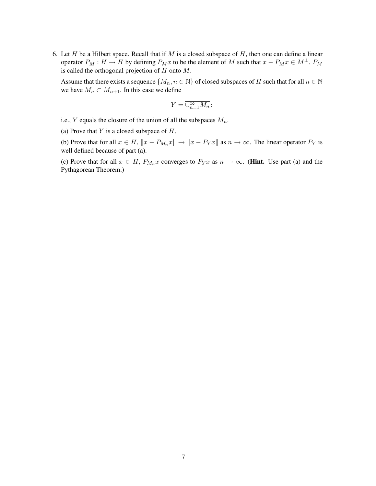6. Let H be a Hilbert space. Recall that if M is a closed subspace of H, then one can define a linear operator  $P_M : H \to H$  by defining  $P_Mx$  to be the element of M such that  $x - P_Mx \in M^{\perp}$ .  $P_M$ is called the orthogonal projection of  $H$  onto  $M$ .

Assume that there exists a sequence  $\{M_n, n \in \mathbb{N}\}\$  of closed subspaces of H such that for all  $n \in \mathbb{N}\$ we have  $M_n \subset M_{n+1}$ . In this case we define

$$
Y=\overline{\cup_{n=1}^{\infty}M_n}\,;
$$

i.e.,  $Y$  equals the closure of the union of all the subspaces  $M_n$ .

(a) Prove that  $Y$  is a closed subspace of  $H$ .

(b) Prove that for all  $x \in H$ ,  $||x - P_{M_n}x|| \to ||x - P_Yx||$  as  $n \to \infty$ . The linear operator  $P_Y$  is well defined because of part (a).

(c) Prove that for all  $x \in H$ ,  $P_{M_n} x$  converges to  $P_Y x$  as  $n \to \infty$ . (**Hint.** Use part (a) and the Pythagorean Theorem.)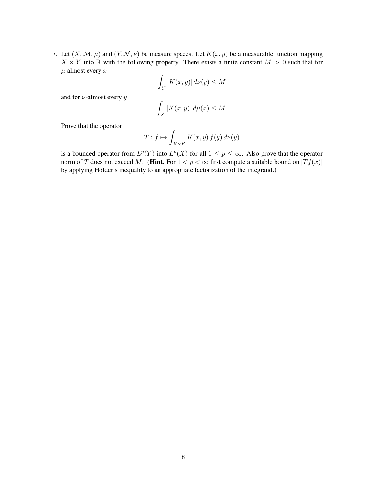7. Let  $(X, \mathcal{M}, \mu)$  and  $(Y, \mathcal{N}, \nu)$  be measure spaces. Let  $K(x, y)$  be a measurable function mapping  $X \times Y$  into R with the following property. There exists a finite constant  $M > 0$  such that for  $\mu$ -almost every  $x$ 

$$
\int_Y |K(x,y)| \, d\nu(y) \le M
$$

and for  $\nu$ -almost every  $y$ 

$$
\int_X |K(x,y)| \, d\mu(x) \le M.
$$

Prove that the operator

$$
T: f \mapsto \int_{X \times Y} K(x, y) f(y) d\nu(y)
$$

is a bounded operator from  $L^p(Y)$  into  $L^p(X)$  for all  $1 \leq p \leq \infty$ . Also prove that the operator norm of T does not exceed M. (**Hint.** For  $1 < p < \infty$  first compute a suitable bound on  $|Tf(x)|$ by applying Hölder's inequality to an appropriate factorization of the integrand.)